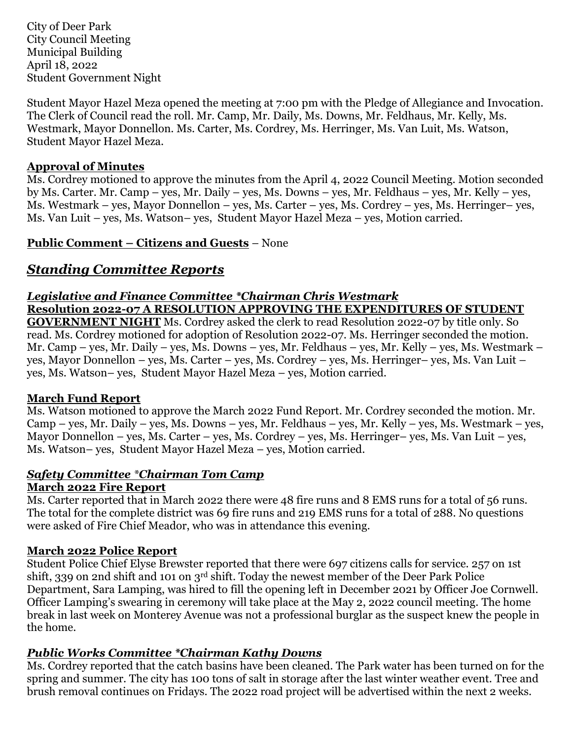City of Deer Park City Council Meeting Municipal Building April 18, 2022 Student Government Night

Student Mayor Hazel Meza opened the meeting at 7:00 pm with the Pledge of Allegiance and Invocation. The Clerk of Council read the roll. Mr. Camp, Mr. Daily, Ms. Downs, Mr. Feldhaus, Mr. Kelly, Ms. Westmark, Mayor Donnellon. Ms. Carter, Ms. Cordrey, Ms. Herringer, Ms. Van Luit, Ms. Watson, Student Mayor Hazel Meza.

#### **Approval of Minutes**

Ms. Cordrey motioned to approve the minutes from the April 4, 2022 Council Meeting. Motion seconded by Ms. Carter. Mr. Camp – yes, Mr. Daily – yes, Ms. Downs – yes, Mr. Feldhaus – yes, Mr. Kelly – yes, Ms. Westmark – yes, Mayor Donnellon – yes, Ms. Carter – yes, Ms. Cordrey – yes, Ms. Herringer– yes, Ms. Van Luit – yes, Ms. Watson– yes, Student Mayor Hazel Meza – yes, Motion carried.

## **Public Comment – Citizens and Guests** – None

# *Standing Committee Reports*

## *Legislative and Finance Committee \*Chairman Chris Westmark* **Resolution 2022-07 A RESOLUTION APPROVING THE EXPENDITURES OF STUDENT**

**GOVERNMENT NIGHT** Ms. Cordrey asked the clerk to read Resolution 2022-07 by title only. So read. Ms. Cordrey motioned for adoption of Resolution 2022-07. Ms. Herringer seconded the motion. Mr. Camp – yes, Mr. Daily – yes, Ms. Downs – yes, Mr. Feldhaus – yes, Mr. Kelly – yes, Ms. Westmark – yes, Mayor Donnellon – yes, Ms. Carter – yes, Ms. Cordrey – yes, Ms. Herringer– yes, Ms. Van Luit – yes, Ms. Watson– yes, Student Mayor Hazel Meza – yes, Motion carried.

#### **March Fund Report**

Ms. Watson motioned to approve the March 2022 Fund Report. Mr. Cordrey seconded the motion. Mr. Camp – yes, Mr. Daily – yes, Ms. Downs – yes, Mr. Feldhaus – yes, Mr. Kelly – yes, Ms. Westmark – yes, Mayor Donnellon – yes, Ms. Carter – yes, Ms. Cordrey – yes, Ms. Herringer– yes, Ms. Van Luit – yes, Ms. Watson– yes, Student Mayor Hazel Meza – yes, Motion carried.

# *Safety Committee \*Chairman Tom Camp*

### **March 2022 Fire Report**

Ms. Carter reported that in March 2022 there were 48 fire runs and 8 EMS runs for a total of 56 runs. The total for the complete district was 69 fire runs and 219 EMS runs for a total of 288. No questions were asked of Fire Chief Meador, who was in attendance this evening.

#### **March 2022 Police Report**

Student Police Chief Elyse Brewster reported that there were 697 citizens calls for service. 257 on 1st shift, 339 on 2nd shift and 101 on 3rd shift. Today the newest member of the Deer Park Police Department, Sara Lamping, was hired to fill the opening left in December 2021 by Officer Joe Cornwell. Officer Lamping's swearing in ceremony will take place at the May 2, 2022 council meeting. The home break in last week on Monterey Avenue was not a professional burglar as the suspect knew the people in the home.

## *Public Works Committee \*Chairman Kathy Downs*

Ms. Cordrey reported that the catch basins have been cleaned. The Park water has been turned on for the spring and summer. The city has 100 tons of salt in storage after the last winter weather event. Tree and brush removal continues on Fridays. The 2022 road project will be advertised within the next 2 weeks.